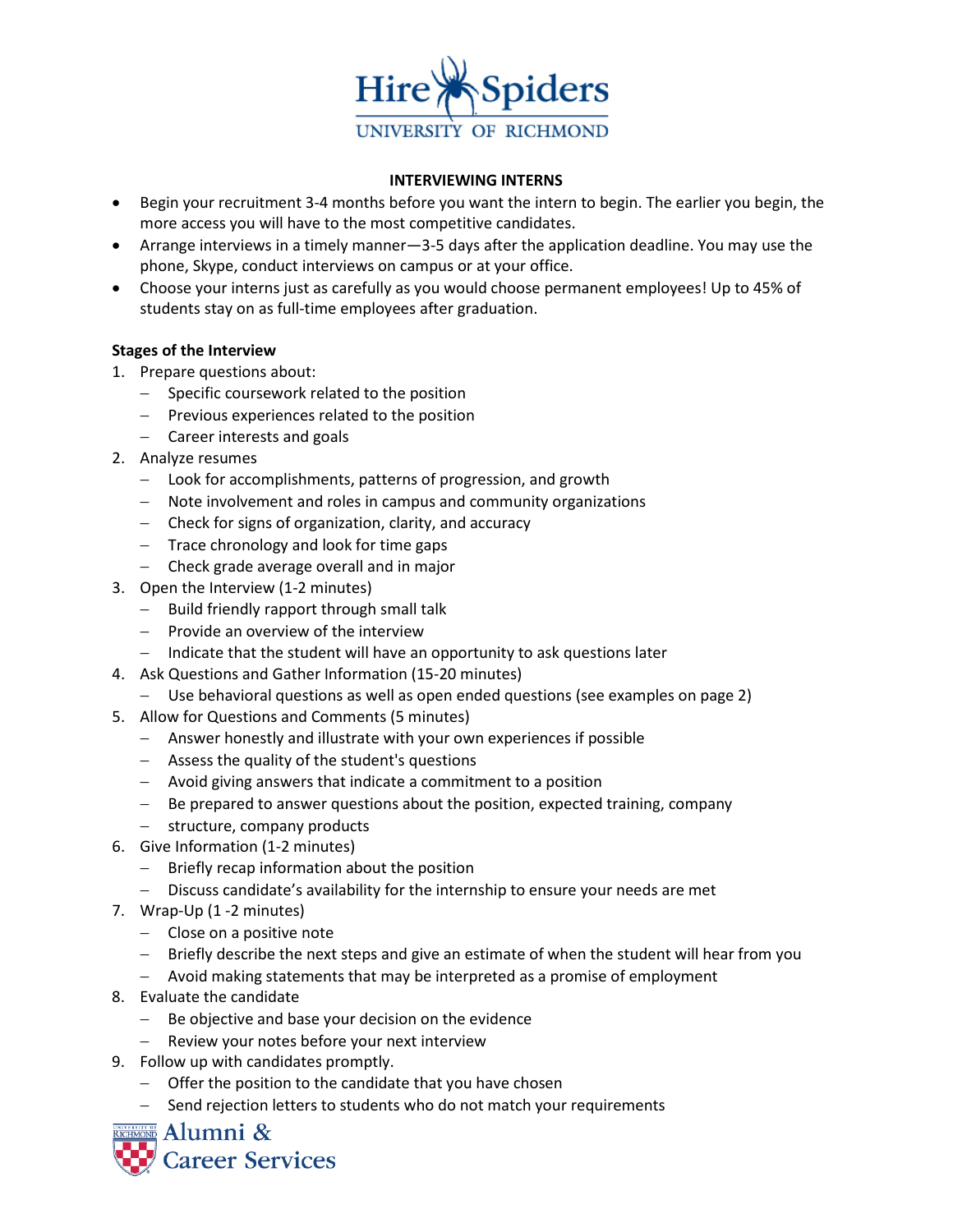

### **INTERVIEWING INTERNS**

- Begin your recruitment 3-4 months before you want the intern to begin. The earlier you begin, the more access you will have to the most competitive candidates.
- Arrange interviews in a timely manner—3-5 days after the application deadline. You may use the phone, Skype, conduct interviews on campus or at your office.
- Choose your interns just as carefully as you would choose permanent employees! Up to 45% of students stay on as full-time employees after graduation.

# **Stages of the Interview**

- 1. Prepare questions about:
	- − Specific coursework related to the position
	- − Previous experiences related to the position
	- − Career interests and goals
- 2. Analyze resumes
	- − Look for accomplishments, patterns of progression, and growth
	- − Note involvement and roles in campus and community organizations
	- − Check for signs of organization, clarity, and accuracy
	- − Trace chronology and look for time gaps
	- − Check grade average overall and in major
- 3. Open the Interview (1-2 minutes)
	- − Build friendly rapport through small talk
	- − Provide an overview of the interview
	- − Indicate that the student will have an opportunity to ask questions later
- 4. Ask Questions and Gather Information (15-20 minutes)
	- − Use behavioral questions as well as open ended questions (see examples on page 2)
- 5. Allow for Questions and Comments (5 minutes)
	- − Answer honestly and illustrate with your own experiences if possible
	- − Assess the quality of the student's questions
	- − Avoid giving answers that indicate a commitment to a position
	- − Be prepared to answer questions about the position, expected training, company
	- − structure, company products
- 6. Give Information (1-2 minutes)
	- − Briefly recap information about the position
	- − Discuss candidate's availability for the internship to ensure your needs are met
- 7. Wrap-Up (1 -2 minutes)
	- − Close on a positive note
	- − Briefly describe the next steps and give an estimate of when the student will hear from you
	- − Avoid making statements that may be interpreted as a promise of employment
- 8. Evaluate the candidate
	- − Be objective and base your decision on the evidence
	- − Review your notes before your next interview
- 9. Follow up with candidates promptly.
	- − Offer the position to the candidate that you have chosen
	- − Send rejection letters to students who do not match your requirements